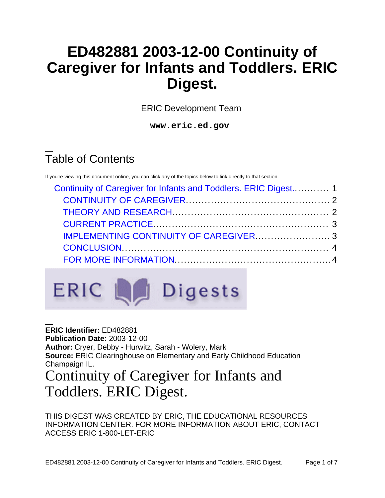# **ED482881 2003-12-00 Continuity of Caregiver for Infants and Toddlers. ERIC Digest.**

ERIC Development Team

**www.eric.ed.gov**

# Table of Contents

If you're viewing this document online, you can click any of the topics below to link directly to that section.

| Continuity of Caregiver for Infants and Toddlers. ERIC Digest 1 |  |
|-----------------------------------------------------------------|--|
|                                                                 |  |
|                                                                 |  |
|                                                                 |  |
|                                                                 |  |
|                                                                 |  |
|                                                                 |  |
|                                                                 |  |



<span id="page-0-0"></span>**ERIC Identifier:** ED482881 **Publication Date:** 2003-12-00 **Author:** Cryer, Debby - Hurwitz, Sarah - Wolery, Mark **Source:** ERIC Clearinghouse on Elementary and Early Childhood Education Champaign IL. Continuity of Caregiver for Infants and Toddlers. ERIC Digest.

THIS DIGEST WAS CREATED BY ERIC, THE EDUCATIONAL RESOURCES INFORMATION CENTER. FOR MORE INFORMATION ABOUT ERIC, CONTACT ACCESS ERIC 1-800-LET-ERIC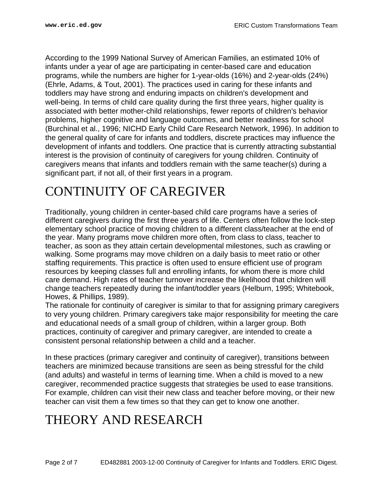According to the 1999 National Survey of American Families, an estimated 10% of infants under a year of age are participating in center-based care and education programs, while the numbers are higher for 1-year-olds (16%) and 2-year-olds (24%) (Ehrle, Adams, & Tout, 2001). The practices used in caring for these infants and toddlers may have strong and enduring impacts on children's development and well-being. In terms of child care quality during the first three years, higher quality is associated with better mother-child relationships, fewer reports of children's behavior problems, higher cognitive and language outcomes, and better readiness for school (Burchinal et al., 1996; NICHD Early Child Care Research Network, 1996). In addition to the general quality of care for infants and toddlers, discrete practices may influence the development of infants and toddlers. One practice that is currently attracting substantial interest is the provision of continuity of caregivers for young children. Continuity of caregivers means that infants and toddlers remain with the same teacher(s) during a significant part, if not all, of their first years in a program.

### <span id="page-1-0"></span>CONTINUITY OF CAREGIVER

Traditionally, young children in center-based child care programs have a series of different caregivers during the first three years of life. Centers often follow the lock-step elementary school practice of moving children to a different class/teacher at the end of the year. Many programs move children more often, from class to class, teacher to teacher, as soon as they attain certain developmental milestones, such as crawling or walking. Some programs may move children on a daily basis to meet ratio or other staffing requirements. This practice is often used to ensure efficient use of program resources by keeping classes full and enrolling infants, for whom there is more child care demand. High rates of teacher turnover increase the likelihood that children will change teachers repeatedly during the infant/toddler years (Helburn, 1995; Whitebook, Howes, & Phillips, 1989).

The rationale for continuity of caregiver is similar to that for assigning primary caregivers to very young children. Primary caregivers take major responsibility for meeting the care and educational needs of a small group of children, within a larger group. Both practices, continuity of caregiver and primary caregiver, are intended to create a consistent personal relationship between a child and a teacher.

In these practices (primary caregiver and continuity of caregiver), transitions between teachers are minimized because transitions are seen as being stressful for the child (and adults) and wasteful in terms of learning time. When a child is moved to a new caregiver, recommended practice suggests that strategies be used to ease transitions. For example, children can visit their new class and teacher before moving, or their new teacher can visit them a few times so that they can get to know one another.

## <span id="page-1-1"></span>THEORY AND RESEARCH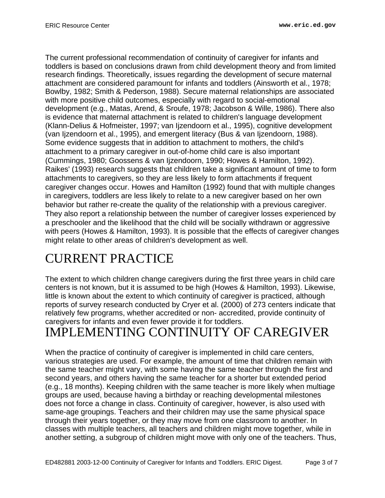The current professional recommendation of continuity of caregiver for infants and toddlers is based on conclusions drawn from child development theory and from limited research findings. Theoretically, issues regarding the development of secure maternal attachment are considered paramount for infants and toddlers (Ainsworth et al., 1978; Bowlby, 1982; Smith & Pederson, 1988). Secure maternal relationships are associated with more positive child outcomes, especially with regard to social-emotional development (e.g., Matas, Arend, & Sroufe, 1978; Jacobson & Wille, 1986). There also is evidence that maternal attachment is related to children's language development (Klann-Delius & Hofmeister, 1997; van Ijzendoorn et al., 1995), cognitive development (van Ijzendoorn et al., 1995), and emergent literacy (Bus & van Ijzendoorn, 1988). Some evidence suggests that in addition to attachment to mothers, the child's attachment to a primary caregiver in out-of-home child care is also important (Cummings, 1980; Goossens & van Ijzendoorn, 1990; Howes & Hamilton, 1992). Raikes' (1993) research suggests that children take a significant amount of time to form attachments to caregivers, so they are less likely to form attachments if frequent caregiver changes occur. Howes and Hamilton (1992) found that with multiple changes in caregivers, toddlers are less likely to relate to a new caregiver based on her own behavior but rather re-create the quality of the relationship with a previous caregiver. They also report a relationship between the number of caregiver losses experienced by a preschooler and the likelihood that the child will be socially withdrawn or aggressive with peers (Howes & Hamilton, 1993). It is possible that the effects of caregiver changes might relate to other areas of children's development as well.

# <span id="page-2-0"></span>CURRENT PRACTICE

The extent to which children change caregivers during the first three years in child care centers is not known, but it is assumed to be high (Howes & Hamilton, 1993). Likewise, little is known about the extent to which continuity of caregiver is practiced, although reports of survey research conducted by Cryer et al. (2000) of 273 centers indicate that relatively few programs, whether accredited or non- accredited, provide continuity of caregivers for infants and even fewer provide it for toddlers.

# <span id="page-2-1"></span>IMPLEMENTING CONTINUITY OF CAREGIVER

When the practice of continuity of caregiver is implemented in child care centers, various strategies are used. For example, the amount of time that children remain with the same teacher might vary, with some having the same teacher through the first and second years, and others having the same teacher for a shorter but extended period (e.g., 18 months). Keeping children with the same teacher is more likely when multiage groups are used, because having a birthday or reaching developmental milestones does not force a change in class. Continuity of caregiver, however, is also used with same-age groupings. Teachers and their children may use the same physical space through their years together, or they may move from one classroom to another. In classes with multiple teachers, all teachers and children might move together, while in another setting, a subgroup of children might move with only one of the teachers. Thus,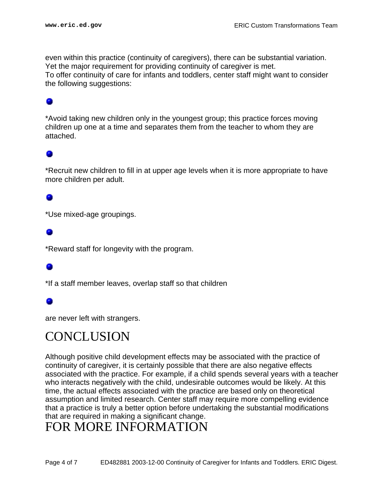even within this practice (continuity of caregivers), there can be substantial variation. Yet the major requirement for providing continuity of caregiver is met. To offer continuity of care for infants and toddlers, center staff might want to consider the following suggestions:

### ۰

\*Avoid taking new children only in the youngest group; this practice forces moving children up one at a time and separates them from the teacher to whom they are attached.

\*Recruit new children to fill in at upper age levels when it is more appropriate to have more children per adult.

\*Use mixed-age groupings.

\*Reward staff for longevity with the program.

\*If a staff member leaves, overlap staff so that children

are never left with strangers.

### <span id="page-3-0"></span>**CONCLUSION**

Although positive child development effects may be associated with the practice of continuity of caregiver, it is certainly possible that there are also negative effects associated with the practice. For example, if a child spends several years with a teacher who interacts negatively with the child, undesirable outcomes would be likely. At this time, the actual effects associated with the practice are based only on theoretical assumption and limited research. Center staff may require more compelling evidence that a practice is truly a better option before undertaking the substantial modifications that are required in making a significant change.

### <span id="page-3-1"></span>FOR MORE INFORMATION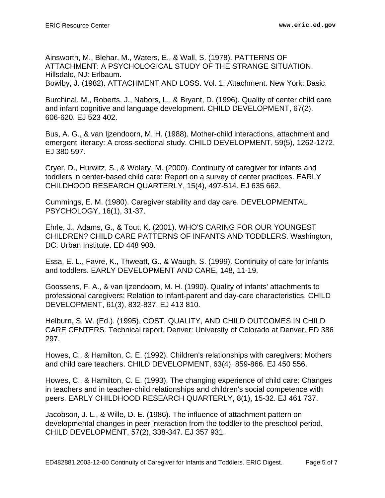Ainsworth, M., Blehar, M., Waters, E., & Wall, S. (1978). PATTERNS OF ATTACHMENT: A PSYCHOLOGICAL STUDY OF THE STRANGE SITUATION. Hillsdale, NJ: Erlbaum.

Bowlby, J. (1982). ATTACHMENT AND LOSS. Vol. 1: Attachment. New York: Basic.

Burchinal, M., Roberts, J., Nabors, L., & Bryant, D. (1996). Quality of center child care and infant cognitive and language development. CHILD DEVELOPMENT, 67(2), 606-620. EJ 523 402.

Bus, A. G., & van Ijzendoorn, M. H. (1988). Mother-child interactions, attachment and emergent literacy: A cross-sectional study. CHILD DEVELOPMENT, 59(5), 1262-1272. EJ 380 597.

Cryer, D., Hurwitz, S., & Wolery, M. (2000). Continuity of caregiver for infants and toddlers in center-based child care: Report on a survey of center practices. EARLY CHILDHOOD RESEARCH QUARTERLY, 15(4), 497-514. EJ 635 662.

Cummings, E. M. (1980). Caregiver stability and day care. DEVELOPMENTAL PSYCHOLOGY, 16(1), 31-37.

Ehrle, J., Adams, G., & Tout, K. (2001). WHO'S CARING FOR OUR YOUNGEST CHILDREN? CHILD CARE PATTERNS OF INFANTS AND TODDLERS. Washington, DC: Urban Institute. ED 448 908.

Essa, E. L., Favre, K., Thweatt, G., & Waugh, S. (1999). Continuity of care for infants and toddlers. EARLY DEVELOPMENT AND CARE, 148, 11-19.

Goossens, F. A., & van Ijzendoorn, M. H. (1990). Quality of infants' attachments to professional caregivers: Relation to infant-parent and day-care characteristics. CHILD DEVELOPMENT, 61(3), 832-837. EJ 413 810.

Helburn, S. W. (Ed.). (1995). COST, QUALITY, AND CHILD OUTCOMES IN CHILD CARE CENTERS. Technical report. Denver: University of Colorado at Denver. ED 386 297.

Howes, C., & Hamilton, C. E. (1992). Children's relationships with caregivers: Mothers and child care teachers. CHILD DEVELOPMENT, 63(4), 859-866. EJ 450 556.

Howes, C., & Hamilton, C. E. (1993). The changing experience of child care: Changes in teachers and in teacher-child relationships and children's social competence with peers. EARLY CHILDHOOD RESEARCH QUARTERLY, 8(1), 15-32. EJ 461 737.

Jacobson, J. L., & Wille, D. E. (1986). The influence of attachment pattern on developmental changes in peer interaction from the toddler to the preschool period. CHILD DEVELOPMENT, 57(2), 338-347. EJ 357 931.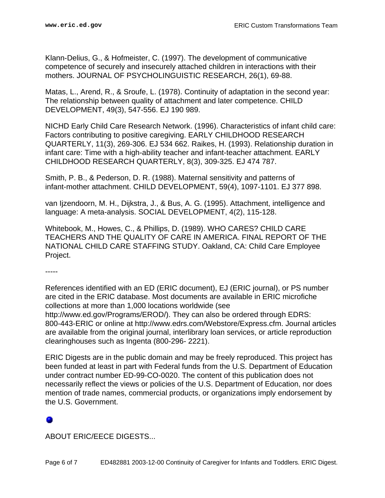Klann-Delius, G., & Hofmeister, C. (1997). The development of communicative competence of securely and insecurely attached children in interactions with their mothers. JOURNAL OF PSYCHOLINGUISTIC RESEARCH, 26(1), 69-88.

Matas, L., Arend, R., & Sroufe, L. (1978). Continuity of adaptation in the second year: The relationship between quality of attachment and later competence. CHILD DEVELOPMENT, 49(3), 547-556. EJ 190 989.

NICHD Early Child Care Research Network. (1996). Characteristics of infant child care: Factors contributing to positive caregiving. EARLY CHILDHOOD RESEARCH QUARTERLY, 11(3), 269-306. EJ 534 662. Raikes, H. (1993). Relationship duration in infant care: Time with a high-ability teacher and infant-teacher attachment. EARLY CHILDHOOD RESEARCH QUARTERLY, 8(3), 309-325. EJ 474 787.

Smith, P. B., & Pederson, D. R. (1988). Maternal sensitivity and patterns of infant-mother attachment. CHILD DEVELOPMENT, 59(4), 1097-1101. EJ 377 898.

van Ijzendoorn, M. H., Dijkstra, J., & Bus, A. G. (1995). Attachment, intelligence and language: A meta-analysis. SOCIAL DEVELOPMENT, 4(2), 115-128.

Whitebook, M., Howes, C., & Phillips, D. (1989). WHO CARES? CHILD CARE TEACHERS AND THE QUALITY OF CARE IN AMERICA. FINAL REPORT OF THE NATIONAL CHILD CARE STAFFING STUDY. Oakland, CA: Child Care Employee Project.

-----

References identified with an ED (ERIC document), EJ (ERIC journal), or PS number are cited in the ERIC database. Most documents are available in ERIC microfiche collections at more than 1,000 locations worldwide (see http://www.ed.gov/Programs/EROD/). They can also be ordered through EDRS: 800-443-ERIC or online at http://www.edrs.com/Webstore/Express.cfm. Journal articles are available from the original journal, interlibrary loan services, or article reproduction clearinghouses such as Ingenta (800-296- 2221).

ERIC Digests are in the public domain and may be freely reproduced. This project has been funded at least in part with Federal funds from the U.S. Department of Education under contract number ED-99-CO-0020. The content of this publication does not necessarily reflect the views or policies of the U.S. Department of Education, nor does mention of trade names, commercial products, or organizations imply endorsement by the U.S. Government.

ABOUT ERIC/EECE DIGESTS...